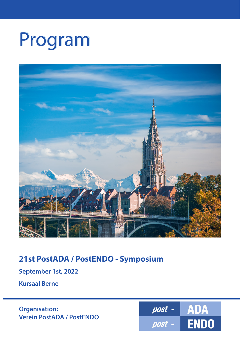# Program



# **21st PostADA / PostENDO - Symposium**

**September 1st, 2022**

**Kursaal Berne**

**Organisation: Verein PostADA / PostENDO**

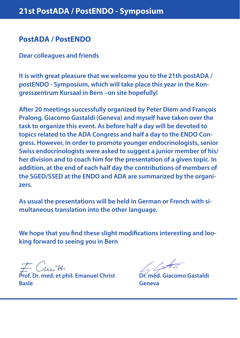## **PostADA / PostENDO**

**Dear colleagues and friends**

**It is with great pleasure that we welcome you to the 21th postADA / postENDO - Symposium, which will take place this year in the Kongresszentrum Kursaal in Bern –on site hopefully!**

**After 20 meetings successfully organized by Peter Diem and François Pralong, Giacomo Gastaldi (Geneva) and myself have taken over the task to organize this event. As before half a day will be devoted to topics related to the ADA Congress and half a day to the ENDO Congress. However, in order to promote younger endocrinologists, senior Swiss endocrinologists were asked to suggest a junior member of his/ her division and to coach him for the presentation of a given topic. In addition, at the end of each half day the contributions of members of the SGED/SSED at the ENDO and ADA are summarized by the organizers.** 

**As usual the presentations will be held in German or French with simultaneous translation into the other language.**

**We hope that you find these slight modifications interesting and looking forward to seeing you in Bern**

**Prof. Dr. med. et phil. Emanuel Christ Dr. med. Giacomo Gastaldi Basle** Geneva **Basic Contract Contract Contract Contract Contract Contract Contract Contract Contract Contract Contract Contract Contract Contract Contract Contract Contract Contract Contract Contract Contract Contract Co**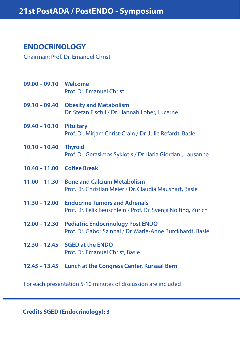## **ENDOCRINOLOGY**

Chairman: Prof. Dr. Emanuel Christ

| 09.00 - 09.10 Welcome      | Prof. Dr. Emanuel Christ                                                                                      |
|----------------------------|---------------------------------------------------------------------------------------------------------------|
|                            | 09.10 - 09.40 Obesity and Metabolism<br>Dr. Stefan Fischli / Dr. Hannah Loher, Lucerne                        |
| $09.40 - 10.10$            | <b>Pituitary</b><br>Prof. Dr. Mirjam Christ-Crain / Dr. Julie Refardt, Basle                                  |
| $10.10 - 10.40$            | <b>Thyroid</b><br>Prof. Dr. Gerasimos Sykiotis / Dr. Ilaria Giordani, Lausanne                                |
| 10.40 - 11.00 Coffee Break |                                                                                                               |
|                            | 11.00 - 11.30 Bone and Calcium Metabolism<br>Prof. Dr. Christian Meier / Dr. Claudia Maushart, Basle          |
|                            | 11.30 – 12.00 Endocrine Tumors and Adrenals<br>Prof. Dr. Felix Beuschlein / Prof. Dr. Svenja Nölting, Zurich  |
|                            | 12.00 - 12.30 Pediatric Endocrinology Post ENDO<br>Prof. Dr. Gabor Szinnai / Dr. Marie-Anne Burckhardt, Basle |
|                            | 12.30 - 12.45 SGED at the ENDO<br>Prof. Dr. Emanuel Christ, Basle                                             |
|                            | 12.45 - 13.45 Lunch at the Congress Center, Kursaal Bern                                                      |

For each presentation 5-10 minutes of discussion are included

**Credits SGED (Endocrinology): 3**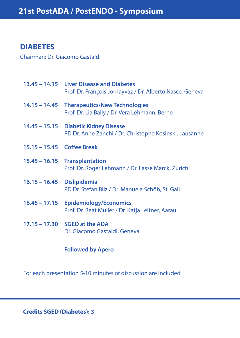# **DIABETES**

Chairman: Dr. Giacomo Gastaldi

|                            | 13.45 - 14.15 Liver Disease and Diabetes<br>Prof. Dr. François Jornayvaz / Dr. Alberto Nasce, Geneva |
|----------------------------|------------------------------------------------------------------------------------------------------|
| $14.15 - 14.45$            | <b>Therapeutics/New Technologies</b><br>Prof. Dr. Lia Bally / Dr. Vera Lehmann, Berne                |
|                            | 14.45 - 15.15 Diabetic Kidney Disease<br>PD Dr. Anne Zanchi / Dr. Christophe Kosinski, Lausanne      |
| 15.15 - 15.45 Coffee Break |                                                                                                      |
|                            | 15.45 - 16.15 Transplantation<br>Prof. Dr. Roger Lehmann / Dr. Lasse Marck, Zurich                   |
| 16.15 - 16.45 Dislipidemia | PD Dr. Stefan Bilz / Dr. Manuela Schöb, St. Gall                                                     |
| $16.45 - 17.15$            | <b>Epidemiology/Economics</b><br>Prof. Dr. Beat Müller / Dr. Katja Leitner, Aarau                    |
|                            | 17.15 - 17.30 SGED at the ADA<br>Dr. Giacomo Gastaldi, Geneva                                        |
|                            |                                                                                                      |

#### **Followed by Apéro**

For each presentation 5-10 minutes of discussion are included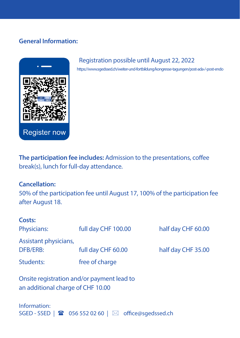#### **General Information:**



#### Registration possible until August 22, 2022

https://www.sgedssed.ch/weiter-und-fortbildung/kongresse-tagungen/post-ada-/-post-endo

**The participation fee includes:** Admission to the presentations, coffee break(s), lunch for full-day attendance.

#### **Cancellation:**

50% of the participation fee until August 17, 100% of the participation fee after August 18.

| Costs:<br>Physicians:             | full day CHF 100.00 | half day CHF 60.00 |
|-----------------------------------|---------------------|--------------------|
| Assistant physicians,<br>DFB/ERB: | full day CHF 60.00  | half day CHF 35.00 |
| Students:                         | free of charge      |                    |
|                                   |                     |                    |

Onsite registration and/or payment lead to an additional charge of CHF 10.00

Information: SGED - SSED |  $\blacksquare$  056 552 02 60 |  $\boxtimes$  office@sgedssed.ch